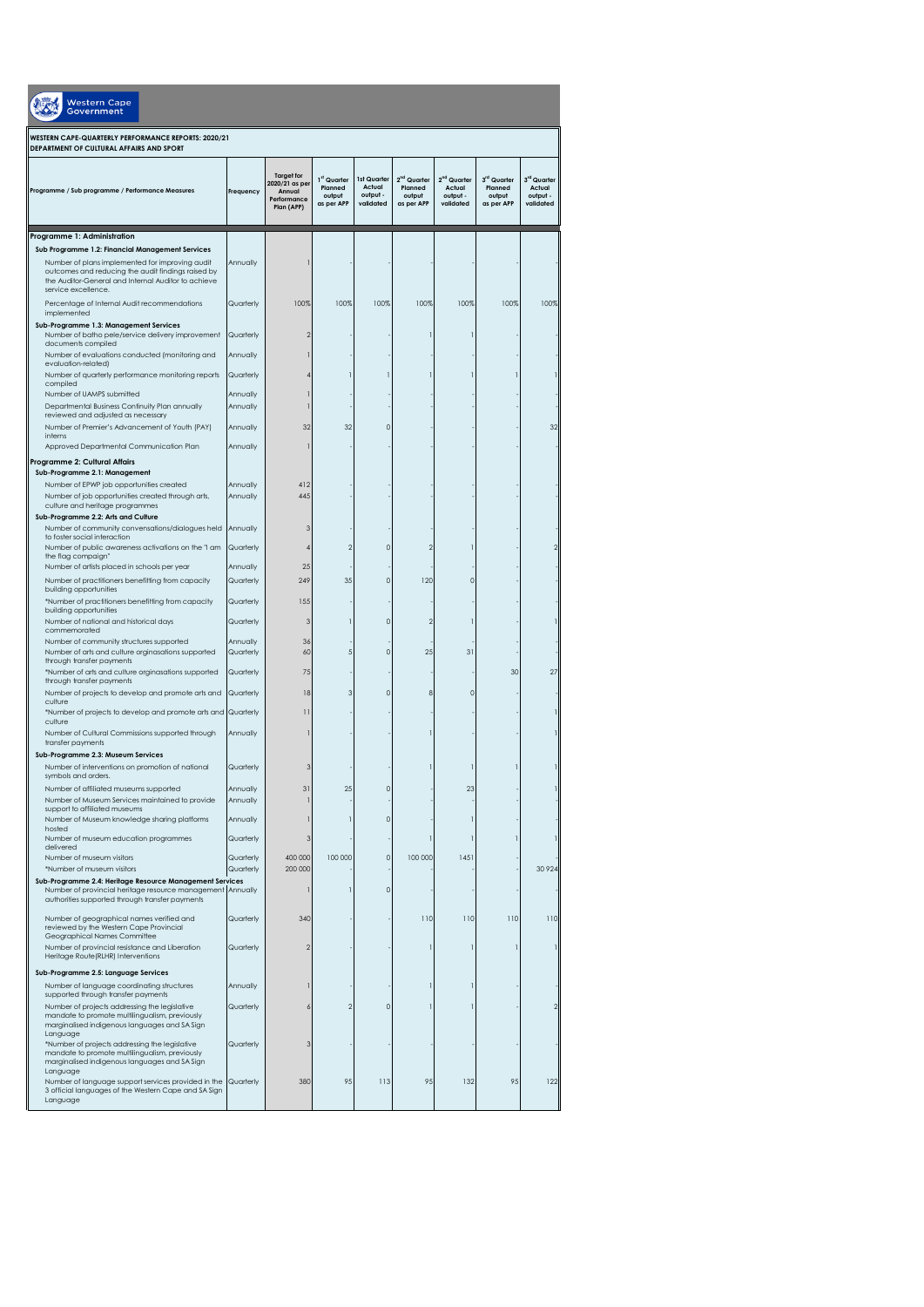| <b>Nestern Cape</b><br>vernment                                                                                                                                                     |                      |                                                                            |                                                |                                                |                                                            |                                                            |                                                |                                                |
|-------------------------------------------------------------------------------------------------------------------------------------------------------------------------------------|----------------------|----------------------------------------------------------------------------|------------------------------------------------|------------------------------------------------|------------------------------------------------------------|------------------------------------------------------------|------------------------------------------------|------------------------------------------------|
| WESTERN CAPE-QUARTERLY PERFORMANCE REPORTS: 2020/21<br>DEPARTMENT OF CULTURAL AFFAIRS AND SPORT                                                                                     |                      |                                                                            |                                                |                                                |                                                            |                                                            |                                                |                                                |
| Programme / Sub programme / Performance Measures                                                                                                                                    | Freauency            | <b>Target for</b><br>2020/21 as per<br>Annual<br>Performance<br>Plan (APP) | 1st Quarter<br>Planned<br>output<br>as per APP | 1st Quarter<br>Actual<br>output -<br>validated | 2 <sup>nd</sup> Quarter<br>Planned<br>output<br>as per APP | 2 <sup>nd</sup> Quarter<br>Actual<br>output -<br>validated | 3rd Quarter<br>Planned<br>output<br>as per APP | 3rd Quarter<br>Actual<br>output -<br>validated |
| Programme 1: Administration                                                                                                                                                         |                      |                                                                            |                                                |                                                |                                                            |                                                            |                                                |                                                |
| Sub Programme 1.2: Financial Management Services                                                                                                                                    |                      |                                                                            |                                                |                                                |                                                            |                                                            |                                                |                                                |
| Number of plans implemented for improving audit<br>outcomes and reducing the audit findings raised by<br>the Auditor-General and Internal Auditor to achieve<br>service excellence. | Annually             |                                                                            |                                                |                                                |                                                            |                                                            |                                                |                                                |
| Percentage of Internal Audit recommendations                                                                                                                                        | Quarterly            | 100%                                                                       | 100%                                           | 100%                                           | 100%                                                       | 100%                                                       | 100%                                           | 100%                                           |
| implemented<br>Sub-Programme 1.3: Management Services<br>Number of batho pele/service delivery improvement<br>documents compiled                                                    | Quarterly            |                                                                            |                                                |                                                |                                                            |                                                            |                                                |                                                |
| Number of evaluations conducted (monitoring and                                                                                                                                     | Annually             |                                                                            |                                                |                                                |                                                            |                                                            |                                                |                                                |
| evaluation-related)<br>Number of quarterly performance monitoring reports                                                                                                           | Quarterly            |                                                                            |                                                |                                                |                                                            |                                                            |                                                |                                                |
| compiled                                                                                                                                                                            |                      |                                                                            |                                                |                                                |                                                            |                                                            |                                                |                                                |
| Number of UAMPS submitted<br>Departmental Business Continuity Plan annually                                                                                                         | Annually<br>Annually |                                                                            |                                                |                                                |                                                            |                                                            |                                                |                                                |
| reviewed and adjusted as necessary                                                                                                                                                  |                      |                                                                            |                                                |                                                |                                                            |                                                            |                                                |                                                |
| Number of Premier's Advancement of Youth (PAY)<br>interns                                                                                                                           | Annually             | 32                                                                         | 32                                             | $\Omega$                                       |                                                            |                                                            |                                                | 32                                             |
| Approved Departmental Communication Plan                                                                                                                                            | Annually             |                                                                            |                                                |                                                |                                                            |                                                            |                                                |                                                |
| Programme 2: Cultural Affairs                                                                                                                                                       |                      |                                                                            |                                                |                                                |                                                            |                                                            |                                                |                                                |
| Sub-Programme 2.1: Management                                                                                                                                                       |                      |                                                                            |                                                |                                                |                                                            |                                                            |                                                |                                                |
| Number of EPWP job opportunities created<br>Number of job opportunities created through arts,<br>culture and heritage programmes<br>Sub-Programme 2.2: Arts and Culture             | Annually<br>Annually | 412<br>445                                                                 |                                                |                                                |                                                            |                                                            |                                                |                                                |
| Number of community convensations/dialogues held                                                                                                                                    | Annually             | 3                                                                          |                                                |                                                |                                                            |                                                            |                                                |                                                |
| to foster social interaction<br>Number of public awareness activations on the "I am                                                                                                 |                      | 4                                                                          |                                                | $\Omega$                                       | 2                                                          |                                                            |                                                |                                                |
| the flag compaign"                                                                                                                                                                  | Quarterly            |                                                                            |                                                |                                                |                                                            |                                                            |                                                |                                                |
| Number of artists placed in schools per year                                                                                                                                        | Annually             | 25                                                                         |                                                |                                                |                                                            |                                                            |                                                |                                                |
| Number of practitioners benefitting from capacity<br>building opportunities                                                                                                         | Quarterly            | 249                                                                        | 35                                             | $\mathbf 0$                                    | 120                                                        |                                                            |                                                |                                                |
| *Number of practitioners benefitting from capacity                                                                                                                                  | Quarterly            | 155                                                                        |                                                |                                                |                                                            |                                                            |                                                |                                                |
| building opportunities                                                                                                                                                              |                      |                                                                            |                                                |                                                | $\mathfrak{D}$                                             |                                                            |                                                |                                                |
| Number of national and historical days<br>commemorated                                                                                                                              | Quarterly            | 3                                                                          |                                                | $\circ$                                        |                                                            |                                                            |                                                |                                                |
| Number of community structures supported                                                                                                                                            | Annually             | 36                                                                         |                                                |                                                |                                                            |                                                            |                                                |                                                |
| Number of arts and culture orginasations supported<br>through transfer payments                                                                                                     | Quarterly            | 60                                                                         |                                                | $\Omega$                                       | 25                                                         | 31                                                         |                                                |                                                |
| *Number of arts and culture orginasations supported                                                                                                                                 | Quarterly            | 75                                                                         |                                                |                                                |                                                            |                                                            | 30                                             | 27                                             |
| through transfer payments<br>Number of projects to develop and promote arts and                                                                                                     | Quarterly            | 18                                                                         |                                                | 0                                              | 8                                                          | ٥                                                          |                                                |                                                |
| culture                                                                                                                                                                             |                      | $^{11}$                                                                    |                                                |                                                |                                                            |                                                            |                                                |                                                |
| *Number of projects to develop and promote arts and Quarterly<br>culture                                                                                                            |                      |                                                                            |                                                |                                                |                                                            |                                                            |                                                |                                                |
| Number of Cultural Commissions supported through<br>transfer payments                                                                                                               | Annually             |                                                                            |                                                |                                                |                                                            |                                                            |                                                |                                                |
| Sub-Programme 2.3: Museum Services                                                                                                                                                  |                      |                                                                            |                                                |                                                |                                                            |                                                            |                                                |                                                |
| Number of interventions on promotion of national                                                                                                                                    | Quarterly            |                                                                            |                                                |                                                |                                                            |                                                            |                                                |                                                |
| symbols and orders.<br>Number of affiliated museums supported                                                                                                                       | Annually             | 31                                                                         | 25                                             | C                                              |                                                            | 23                                                         |                                                |                                                |
| Number of Museum Services maintained to provide                                                                                                                                     | Annually             |                                                                            |                                                |                                                |                                                            |                                                            |                                                |                                                |
| support to affiliated museums                                                                                                                                                       |                      |                                                                            |                                                | $\circ$                                        |                                                            |                                                            |                                                |                                                |
| Number of Museum knowledge sharing platforms<br>hosted                                                                                                                              | Annually             |                                                                            |                                                |                                                |                                                            |                                                            |                                                |                                                |
| Number of museum education programmes<br>delivered                                                                                                                                  | Quarterly            | 3                                                                          |                                                |                                                |                                                            |                                                            |                                                |                                                |
| Number of museum visitors                                                                                                                                                           | Quarterly            | 400 000                                                                    | 100 000                                        | $\mathsf{O}\xspace$                            | 100 000                                                    | 1451                                                       |                                                |                                                |
| *Number of museum visitors<br>Sub-Programme 2.4: Heritage Resource Management Services                                                                                              | Quarterly            | 200 000                                                                    |                                                |                                                |                                                            |                                                            |                                                | 30 9 24                                        |
| Number of provincial heritage resource management Annually<br>authorities supported through transfer payments                                                                       |                      |                                                                            |                                                | $\mathsf{O}\xspace$                            |                                                            |                                                            |                                                |                                                |
| Number of geographical names verified and<br>reviewed by the Western Cape Provincial                                                                                                | Quarterly            | 340                                                                        |                                                |                                                | 110                                                        | 110                                                        | 110                                            | 110                                            |
| Geographical Names Committee                                                                                                                                                        |                      |                                                                            |                                                |                                                |                                                            |                                                            |                                                |                                                |
| Number of provincial resistance and Liberation<br>Heritage Route(RLHR) Interventions                                                                                                | Quarterly            | $\overline{2}$                                                             |                                                |                                                |                                                            |                                                            |                                                |                                                |
| Sub-Programme 2.5: Language Services                                                                                                                                                |                      |                                                                            |                                                |                                                |                                                            |                                                            |                                                |                                                |
| Number of language coordinating structures                                                                                                                                          | Annually             |                                                                            |                                                |                                                |                                                            |                                                            |                                                |                                                |
| supported through transfer payments                                                                                                                                                 |                      |                                                                            |                                                |                                                |                                                            |                                                            |                                                |                                                |
| Number of projects addressing the legislative<br>mandate to promote multilingualism, previously                                                                                     | Quarterly            |                                                                            |                                                | $\mathbf 0$                                    |                                                            |                                                            |                                                |                                                |
| marginalised indigenous languages and SA Sign<br>Language                                                                                                                           |                      |                                                                            |                                                |                                                |                                                            |                                                            |                                                |                                                |
| *Number of projects addressing the legislative<br>mandate to promote multilingualism, previously<br>marginalised indigenous languages and SA Sign                                   | Quarterly            | 3                                                                          |                                                |                                                |                                                            |                                                            |                                                |                                                |
| Language<br>Number of language support services provided in the<br>3 official languages of the Western Cape and SA Sign<br>Language                                                 | Quarterly            | 380                                                                        | 95                                             | 113                                            | 95                                                         | 132                                                        | 95                                             | 122                                            |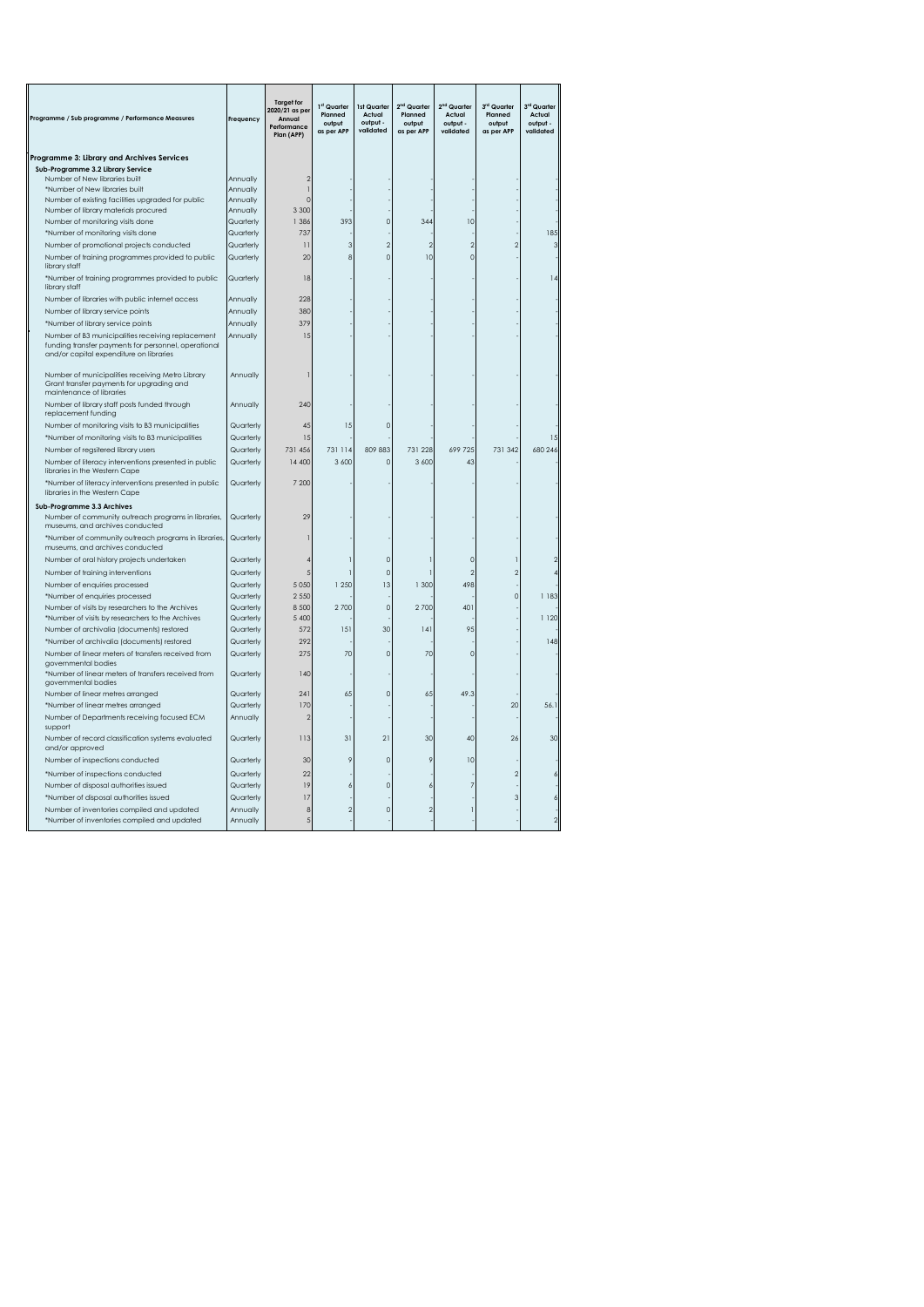| Programme / Sub programme / Performance Measures                                                                                                     | Frequency              | <b>Target for</b><br>2020/21 as per<br>Annual<br>Performance<br>Plan (APP) | 1 <sup>st</sup> Quarter<br>Planned<br>output<br>as per APP | 1st Quarter<br>Actual<br>output -<br>validated | 2 <sup>nd</sup> Quarter<br>Planned<br>output<br>as per APP | 2 <sup>nd</sup> Quarter<br>Actual<br>output -<br>validated | 3rd Quarter<br>Planned<br>output<br>as per APP | 3rd Quarter<br>Actual<br>output -<br>validated |
|------------------------------------------------------------------------------------------------------------------------------------------------------|------------------------|----------------------------------------------------------------------------|------------------------------------------------------------|------------------------------------------------|------------------------------------------------------------|------------------------------------------------------------|------------------------------------------------|------------------------------------------------|
| Programme 3: Library and Archives Services                                                                                                           |                        |                                                                            |                                                            |                                                |                                                            |                                                            |                                                |                                                |
| Sub-Programme 3.2 Library Service                                                                                                                    |                        |                                                                            |                                                            |                                                |                                                            |                                                            |                                                |                                                |
| Number of New libraries built                                                                                                                        | Annually               |                                                                            |                                                            |                                                |                                                            |                                                            |                                                |                                                |
| *Number of New libraries built<br>Number of existing facilities upgraded for public                                                                  | Annually<br>Annually   | r                                                                          |                                                            |                                                |                                                            |                                                            |                                                |                                                |
| Number of library materials procured                                                                                                                 | Annually               | 3 3 0 0                                                                    |                                                            |                                                |                                                            |                                                            |                                                |                                                |
| Number of monitoring visits done                                                                                                                     | Quarterly              | 1 3 8 6                                                                    | 393                                                        | $\Omega$                                       | 344                                                        | 10                                                         |                                                |                                                |
| *Number of monitoring visits done                                                                                                                    | Quarterly              | 737                                                                        |                                                            |                                                |                                                            |                                                            |                                                | 185                                            |
| Number of promotional projects conducted                                                                                                             | Quarterly              | 11                                                                         | 3                                                          | $\mathfrak{D}$                                 | $\mathfrak{D}$                                             |                                                            |                                                | 3                                              |
| Number of training programmes provided to public<br>library staff                                                                                    | Quarterly              | 20                                                                         | 8                                                          | $\overline{0}$                                 | 10                                                         | r                                                          |                                                |                                                |
| *Number of training programmes provided to public<br>library staff                                                                                   | Quarterly              | 18                                                                         |                                                            |                                                |                                                            |                                                            |                                                |                                                |
| Number of libraries with public internet access                                                                                                      | Annually               | 228                                                                        |                                                            |                                                |                                                            |                                                            |                                                |                                                |
| Number of library service points                                                                                                                     | Annually               | 380                                                                        |                                                            |                                                |                                                            |                                                            |                                                |                                                |
| *Number of library service points                                                                                                                    | Annually               | 379                                                                        |                                                            |                                                |                                                            |                                                            |                                                |                                                |
| Number of B3 municipalities receiving replacement<br>funding transfer payments for personnel, operational<br>and/or capital expenditure on libraries | Annually               | 1.5                                                                        |                                                            |                                                |                                                            |                                                            |                                                |                                                |
| Number of municipalities receiving Metro Library<br>Grant transfer payments for upgrading and<br>maintenance of libraries                            | Annually               |                                                                            |                                                            |                                                |                                                            |                                                            |                                                |                                                |
| Number of library staff posts funded through<br>replacement funding                                                                                  | Annually               | 240                                                                        |                                                            |                                                |                                                            |                                                            |                                                |                                                |
| Number of monitoring visits to B3 municipalities                                                                                                     | Quarterly              | 45                                                                         | 15                                                         | $\mathcal{C}$                                  |                                                            |                                                            |                                                |                                                |
| *Number of monitoring visits to B3 municipalities                                                                                                    | Quarterly              | 15                                                                         |                                                            |                                                |                                                            |                                                            |                                                | 15                                             |
| Number of regsitered library users                                                                                                                   | Quarterly              | 731 456                                                                    | 731 114                                                    | 809 883                                        | 731 228                                                    | 699 725                                                    | 731 342                                        | 680 246                                        |
| Number of literacy interventions presented in public<br>libraries in the Western Cape                                                                | Quarterly              | 14 400                                                                     | 3 600                                                      | $\circ$                                        | 3 600                                                      | 43                                                         |                                                |                                                |
| *Number of literacy interventions presented in public<br>libraries in the Western Cape                                                               | Quarterly              | 7 200                                                                      |                                                            |                                                |                                                            |                                                            |                                                |                                                |
| Sub-Programme 3.3 Archives<br>Number of community outreach programs in libraries,<br>museums, and archives conducted                                 | Quarterly              | 25                                                                         |                                                            |                                                |                                                            |                                                            |                                                |                                                |
| *Number of community outreach programs in libraries,<br>museums, and archives conducted                                                              | Quarterly              |                                                                            |                                                            |                                                |                                                            |                                                            |                                                |                                                |
| Number of oral history projects undertaken                                                                                                           | Quarterly              |                                                                            |                                                            | $\epsilon$                                     |                                                            |                                                            |                                                |                                                |
| Number of training interventions                                                                                                                     | Quarterly              | 5                                                                          |                                                            | $\circ$                                        |                                                            |                                                            |                                                |                                                |
| Number of enquiries processed                                                                                                                        | Quarterly              | 5 0 5 0                                                                    | 1 250                                                      | 13                                             | 1 300                                                      | 498                                                        |                                                |                                                |
| *Number of enquiries processed                                                                                                                       | Quarterly              | 2 5 5 0                                                                    |                                                            |                                                |                                                            |                                                            |                                                | 1 183                                          |
| Number of visits by researchers to the Archives                                                                                                      | Quarterly              | 8 5 0 0                                                                    | 2700                                                       | $\mathbf 0$                                    | 2700                                                       | 401                                                        |                                                |                                                |
| *Number of visits by researchers to the Archives<br>Number of archivalia (documents) restored                                                        | Quarterly<br>Quarterly | 5 4 0 0<br>572                                                             | 151                                                        | 30                                             | 4                                                          | 95                                                         |                                                | 1 1 2 0                                        |
| *Number of archivalia (documents) restored                                                                                                           | Quarterly              | 292                                                                        |                                                            |                                                |                                                            |                                                            |                                                | 148                                            |
| Number of linear meters of transfers received from<br>governmental bodies                                                                            | Quarterly              | 275                                                                        | 70                                                         | $\circ$                                        | 70                                                         |                                                            |                                                |                                                |
| *Number of linear meters of transfers received from<br>governmental bodies                                                                           | Quarterly              | 140                                                                        |                                                            |                                                |                                                            |                                                            |                                                |                                                |
| Number of linear metres arranged                                                                                                                     | Quarterly              | 241                                                                        | 65                                                         | $\mathbf{0}$                                   | 65                                                         | 49.3                                                       |                                                |                                                |
| *Number of linear metres arranged                                                                                                                    | Quarterly              | 170                                                                        |                                                            |                                                |                                                            |                                                            | 20                                             | 56.1                                           |
| Number of Departments receiving focused ECM<br>support                                                                                               | Annually               | 2                                                                          |                                                            |                                                |                                                            |                                                            |                                                |                                                |
| Number of record classification systems evaluated<br>and/or approved                                                                                 | Quarterly              | 113                                                                        | 31                                                         | 21                                             | 30                                                         | 40                                                         | 26                                             | 30                                             |
| Number of inspections conducted                                                                                                                      | Quarterly              | 30                                                                         |                                                            | $\circ$                                        | 9                                                          | 10                                                         |                                                |                                                |
| *Number of inspections conducted                                                                                                                     | Quarterly              | 22                                                                         |                                                            |                                                |                                                            |                                                            |                                                |                                                |
| Number of disposal authorities issued                                                                                                                | Quarterly              | 19                                                                         |                                                            | $\mathcal{C}$                                  | 6                                                          |                                                            |                                                |                                                |
| *Number of disposal authorities issued                                                                                                               | Quarterly              | 17                                                                         |                                                            |                                                |                                                            |                                                            |                                                |                                                |
| Number of inventories compiled and updated<br>*Number of inventories compiled and updated                                                            | Annually<br>Annually   | 8<br>5                                                                     |                                                            | 0                                              |                                                            |                                                            |                                                |                                                |